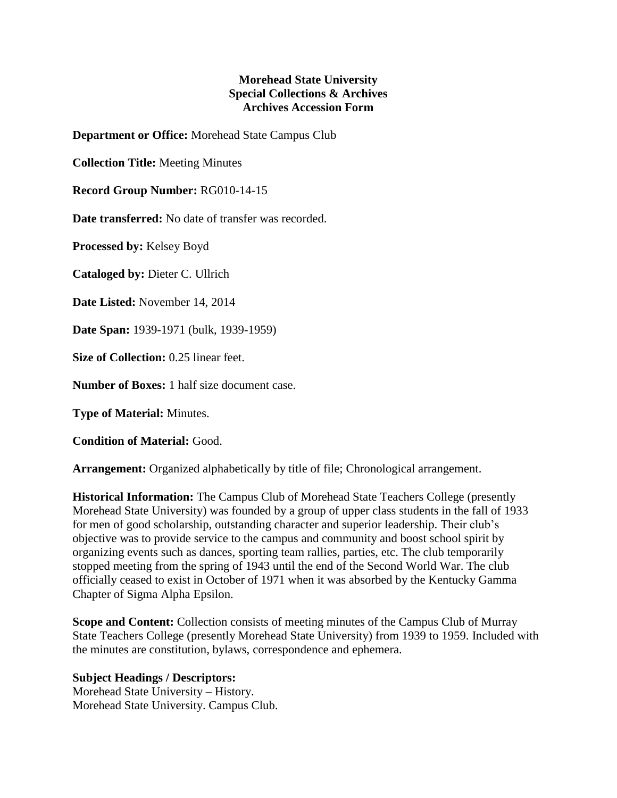## **Morehead State University Special Collections & Archives Archives Accession Form**

**Department or Office:** Morehead State Campus Club

**Collection Title:** Meeting Minutes

**Record Group Number:** RG010-14-15

**Date transferred:** No date of transfer was recorded.

**Processed by:** Kelsey Boyd

**Cataloged by:** Dieter C. Ullrich

**Date Listed:** November 14, 2014

**Date Span:** 1939-1971 (bulk, 1939-1959)

**Size of Collection:** 0.25 linear feet.

**Number of Boxes:** 1 half size document case.

**Type of Material:** Minutes.

**Condition of Material:** Good.

**Arrangement:** Organized alphabetically by title of file; Chronological arrangement.

**Historical Information:** The Campus Club of Morehead State Teachers College (presently Morehead State University) was founded by a group of upper class students in the fall of 1933 for men of good scholarship, outstanding character and superior leadership. Their club's objective was to provide service to the campus and community and boost school spirit by organizing events such as dances, sporting team rallies, parties, etc. The club temporarily stopped meeting from the spring of 1943 until the end of the Second World War. The club officially ceased to exist in October of 1971 when it was absorbed by the Kentucky Gamma Chapter of Sigma Alpha Epsilon.

**Scope and Content:** Collection consists of meeting minutes of the Campus Club of Murray State Teachers College (presently Morehead State University) from 1939 to 1959. Included with the minutes are constitution, bylaws, correspondence and ephemera.

**Subject Headings / Descriptors:**

Morehead State University – History. Morehead State University. Campus Club.